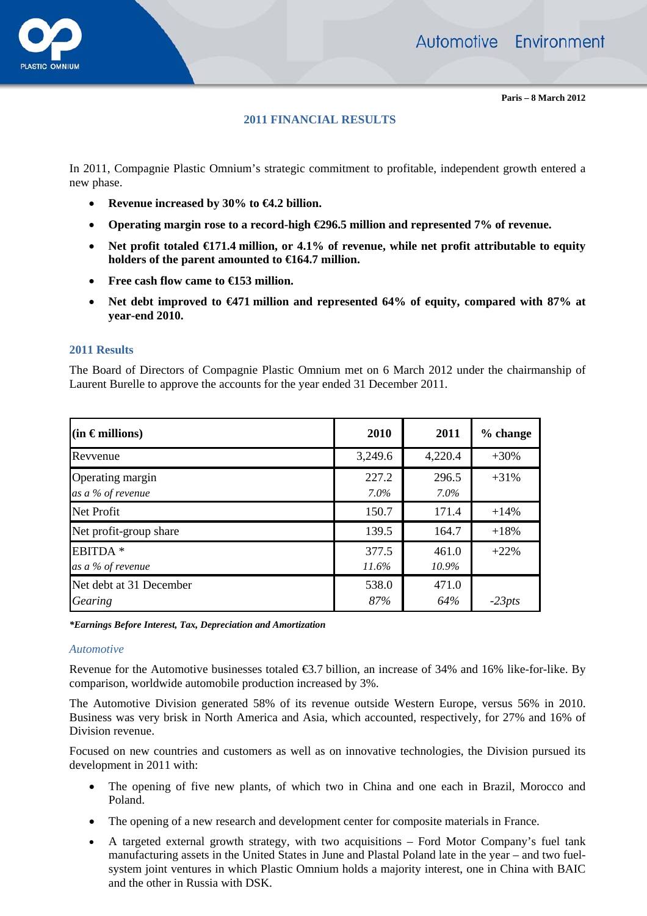

# **2011 FINANCIAL RESULTS**

In 2011, Compagnie Plastic Omnium's strategic commitment to profitable, independent growth entered a new phase.

- **Revenue increased by 30% to €4.2 billion.**
- **Operating margin rose to a record-high €296.5 million and represented 7% of revenue.**
- **Net profit totaled €171.4 million, or 4.1% of revenue, while net profit attributable to equity holders of the parent amounted to €164.7 million.**
- **Free cash flow came to €153 million.**
- **Net debt improved to €471 million and represented 64% of equity, compared with 87% at year-end 2010.**

#### **2011 Results**

The Board of Directors of Compagnie Plastic Omnium met on 6 March 2012 under the chairmanship of Laurent Burelle to approve the accounts for the year ended 31 December 2011.

| $(in$ $\in$ millions)                    | 2010              | 2011              | % change |
|------------------------------------------|-------------------|-------------------|----------|
| Revyenue                                 | 3,249.6           | 4,220.4           | $+30%$   |
| Operating margin<br>as a % of revenue    | 227.2<br>$7.0\%$  | 296.5<br>$7.0\%$  | $+31\%$  |
| Net Profit                               | 150.7             | 171.4             | $+14%$   |
| Net profit-group share                   | 139.5             | 164.7             | $+18%$   |
| EBITDA <sup>*</sup><br>as a % of revenue | 377.5<br>$11.6\%$ | 461.0<br>$10.9\%$ | $+22%$   |
| Net debt at 31 December<br>Gearing       | 538.0<br>87%      | 471.0<br>64%      | $-23pts$ |

*\*Earnings Before Interest, Tax, Depreciation and Amortization* 

#### *Automotive*

Revenue for the Automotive businesses totaled €3.7 billion, an increase of 34% and 16% like-for-like. By comparison, worldwide automobile production increased by 3%.

The Automotive Division generated 58% of its revenue outside Western Europe, versus 56% in 2010. Business was very brisk in North America and Asia, which accounted, respectively, for 27% and 16% of Division revenue.

Focused on new countries and customers as well as on innovative technologies, the Division pursued its development in 2011 with:

- The opening of five new plants, of which two in China and one each in Brazil, Morocco and Poland.
- The opening of a new research and development center for composite materials in France.
- A targeted external growth strategy, with two acquisitions Ford Motor Company's fuel tank manufacturing assets in the United States in June and Plastal Poland late in the year – and two fuelsystem joint ventures in which Plastic Omnium holds a majority interest, one in China with BAIC and the other in Russia with DSK.